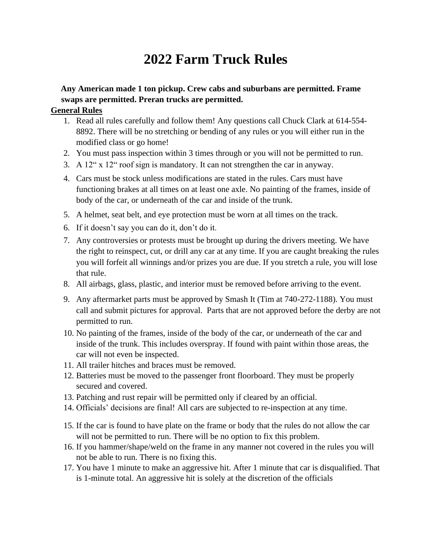# **2022 Farm Truck Rules**

# **Any American made 1 ton pickup. Crew cabs and suburbans are permitted. Frame swaps are permitted. Preran trucks are permitted.**

## **General Rules**

- 1. Read all rules carefully and follow them! Any questions call Chuck Clark at 614-554- 8892. There will be no stretching or bending of any rules or you will either run in the modified class or go home!
- 2. You must pass inspection within 3 times through or you will not be permitted to run.
- 3. A 12" x 12" roof sign is mandatory. It can not strengthen the car in anyway.
- 4. Cars must be stock unless modifications are stated in the rules. Cars must have functioning brakes at all times on at least one axle. No painting of the frames, inside of body of the car, or underneath of the car and inside of the trunk.
- 5. A helmet, seat belt, and eye protection must be worn at all times on the track.
- 6. If it doesn't say you can do it, don't do it.
- 7. Any controversies or protests must be brought up during the drivers meeting. We have the right to reinspect, cut, or drill any car at any time. If you are caught breaking the rules you will forfeit all winnings and/or prizes you are due. If you stretch a rule, you will lose that rule.
- 8. All airbags, glass, plastic, and interior must be removed before arriving to the event.
- 9. Any aftermarket parts must be approved by Smash It (Tim at 740-272-1188). You must call and submit pictures for approval. Parts that are not approved before the derby are not permitted to run.
- 10. No painting of the frames, inside of the body of the car, or underneath of the car and inside of the trunk. This includes overspray. If found with paint within those areas, the car will not even be inspected.
- 11. All trailer hitches and braces must be removed.
- 12. Batteries must be moved to the passenger front floorboard. They must be properly secured and covered.
- 13. Patching and rust repair will be permitted only if cleared by an official.
- 14. Officials' decisions are final! All cars are subjected to re-inspection at any time.
- 15. If the car is found to have plate on the frame or body that the rules do not allow the car will not be permitted to run. There will be no option to fix this problem.
- 16. If you hammer/shape/weld on the frame in any manner not covered in the rules you will not be able to run. There is no fixing this.
- 17. You have 1 minute to make an aggressive hit. After 1 minute that car is disqualified. That is 1-minute total. An aggressive hit is solely at the discretion of the officials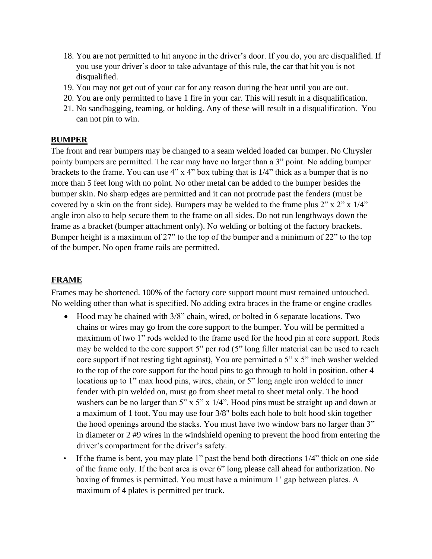- 18. You are not permitted to hit anyone in the driver's door. If you do, you are disqualified. If you use your driver's door to take advantage of this rule, the car that hit you is not disqualified.
- 19. You may not get out of your car for any reason during the heat until you are out.
- 20. You are only permitted to have 1 fire in your car. This will result in a disqualification.
- 21. No sandbagging, teaming, or holding. Any of these will result in a disqualification. You can not pin to win.

## **BUMPER**

The front and rear bumpers may be changed to a seam welded loaded car bumper. No Chrysler pointy bumpers are permitted. The rear may have no larger than a 3" point. No adding bumper brackets to the frame. You can use 4" x 4" box tubing that is 1/4" thick as a bumper that is no more than 5 feet long with no point. No other metal can be added to the bumper besides the bumper skin. No sharp edges are permitted and it can not protrude past the fenders (must be covered by a skin on the front side). Bumpers may be welded to the frame plus 2" x 2" x 1/4" angle iron also to help secure them to the frame on all sides. Do not run lengthways down the frame as a bracket (bumper attachment only). No welding or bolting of the factory brackets. Bumper height is a maximum of 27" to the top of the bumper and a minimum of 22" to the top of the bumper. No open frame rails are permitted.

## **FRAME**

Frames may be shortened. 100% of the factory core support mount must remained untouched. No welding other than what is specified. No adding extra braces in the frame or engine cradles

- Hood may be chained with 3/8" chain, wired, or bolted in 6 separate locations. Two chains or wires may go from the core support to the bumper. You will be permitted a maximum of two 1" rods welded to the frame used for the hood pin at core support. Rods may be welded to the core support 5" per rod (5" long filler material can be used to reach core support if not resting tight against), You are permitted a 5" x 5" inch washer welded to the top of the core support for the hood pins to go through to hold in position. other 4 locations up to 1" max hood pins, wires, chain, or 5" long angle iron welded to inner fender with pin welded on, must go from sheet metal to sheet metal only. The hood washers can be no larger than 5" x 5" x 1/4". Hood pins must be straight up and down at a maximum of 1 foot. You may use four 3/8" bolts each hole to bolt hood skin together the hood openings around the stacks. You must have two window bars no larger than 3" in diameter or 2 #9 wires in the windshield opening to prevent the hood from entering the driver's compartment for the driver's safety.
- If the frame is bent, you may plate 1" past the bend both directions 1/4" thick on one side of the frame only. If the bent area is over 6" long please call ahead for authorization. No boxing of frames is permitted. You must have a minimum 1' gap between plates. A maximum of 4 plates is permitted per truck.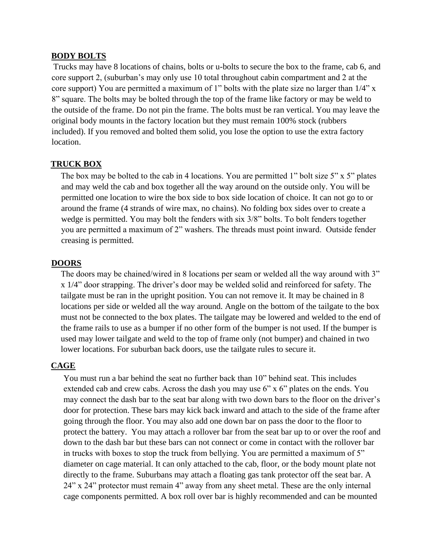#### **BODY BOLTS**

Trucks may have 8 locations of chains, bolts or u-bolts to secure the box to the frame, cab 6, and core support 2, (suburban's may only use 10 total throughout cabin compartment and 2 at the core support) You are permitted a maximum of 1" bolts with the plate size no larger than 1/4" x 8" square. The bolts may be bolted through the top of the frame like factory or may be weld to the outside of the frame. Do not pin the frame. The bolts must be ran vertical. You may leave the original body mounts in the factory location but they must remain 100% stock (rubbers included). If you removed and bolted them solid, you lose the option to use the extra factory location.

#### **TRUCK BOX**

The box may be bolted to the cab in 4 locations. You are permitted 1" bolt size 5" x 5" plates and may weld the cab and box together all the way around on the outside only. You will be permitted one location to wire the box side to box side location of choice. It can not go to or around the frame (4 strands of wire max, no chains). No folding box sides over to create a wedge is permitted. You may bolt the fenders with six  $3/8$ " bolts. To bolt fenders together you are permitted a maximum of 2" washers. The threads must point inward. Outside fender creasing is permitted.

#### **DOORS**

The doors may be chained/wired in 8 locations per seam or welded all the way around with 3" x 1/4" door strapping. The driver's door may be welded solid and reinforced for safety. The tailgate must be ran in the upright position. You can not remove it. It may be chained in 8 locations per side or welded all the way around. Angle on the bottom of the tailgate to the box must not be connected to the box plates. The tailgate may be lowered and welded to the end of the frame rails to use as a bumper if no other form of the bumper is not used. If the bumper is used may lower tailgate and weld to the top of frame only (not bumper) and chained in two lower locations. For suburban back doors, use the tailgate rules to secure it.

#### **CAGE**

You must run a bar behind the seat no further back than 10" behind seat. This includes extended cab and crew cabs. Across the dash you may use 6" x 6" plates on the ends. You may connect the dash bar to the seat bar along with two down bars to the floor on the driver's door for protection. These bars may kick back inward and attach to the side of the frame after going through the floor. You may also add one down bar on pass the door to the floor to protect the battery. You may attach a rollover bar from the seat bar up to or over the roof and down to the dash bar but these bars can not connect or come in contact with the rollover bar in trucks with boxes to stop the truck from bellying. You are permitted a maximum of 5" diameter on cage material. It can only attached to the cab, floor, or the body mount plate not directly to the frame. Suburbans may attach a floating gas tank protector off the seat bar. A 24" x 24" protector must remain 4" away from any sheet metal. These are the only internal cage components permitted. A box roll over bar is highly recommended and can be mounted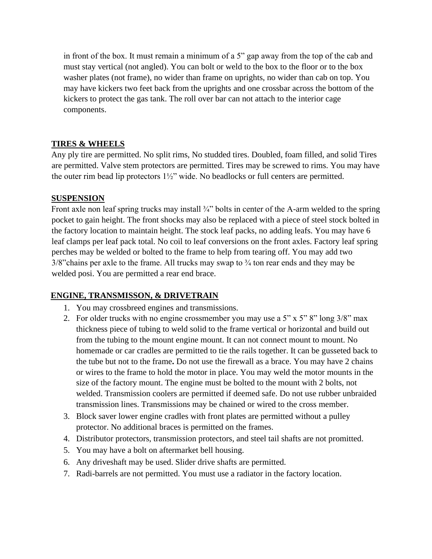in front of the box. It must remain a minimum of a 5" gap away from the top of the cab and must stay vertical (not angled). You can bolt or weld to the box to the floor or to the box washer plates (not frame), no wider than frame on uprights, no wider than cab on top. You may have kickers two feet back from the uprights and one crossbar across the bottom of the kickers to protect the gas tank. The roll over bar can not attach to the interior cage components.

## **TIRES & WHEELS**

Any ply tire are permitted. No split rims, No studded tires. Doubled, foam filled, and solid Tires are permitted. Valve stem protectors are permitted. Tires may be screwed to rims. You may have the outer rim bead lip protectors 1½" wide. No beadlocks or full centers are permitted.

## **SUSPENSION**

Front axle non leaf spring trucks may install <sup>3</sup>/4" bolts in center of the A-arm welded to the spring pocket to gain height. The front shocks may also be replaced with a piece of steel stock bolted in the factory location to maintain height. The stock leaf packs, no adding leafs. You may have 6 leaf clamps per leaf pack total. No coil to leaf conversions on the front axles. Factory leaf spring perches may be welded or bolted to the frame to help from tearing off. You may add two  $3/8$ "chains per axle to the frame. All trucks may swap to  $\frac{3}{4}$  ton rear ends and they may be welded posi. You are permitted a rear end brace.

## **ENGINE, TRANSMISSON, & DRIVETRAIN**

- 1. You may crossbreed engines and transmissions.
- 2. For older trucks with no engine crossmember you may use a 5" x 5" 8" long  $3/8$ " max thickness piece of tubing to weld solid to the frame vertical or horizontal and build out from the tubing to the mount engine mount. It can not connect mount to mount. No homemade or car cradles are permitted to tie the rails together. It can be gusseted back to the tube but not to the frame**.** Do not use the firewall as a brace. You may have 2 chains or wires to the frame to hold the motor in place. You may weld the motor mounts in the size of the factory mount. The engine must be bolted to the mount with 2 bolts, not welded. Transmission coolers are permitted if deemed safe. Do not use rubber unbraided transmission lines. Transmissions may be chained or wired to the cross member.
- 3. Block saver lower engine cradles with front plates are permitted without a pulley protector. No additional braces is permitted on the frames.
- 4. Distributor protectors, transmission protectors, and steel tail shafts are not promitted.
- 5. You may have a bolt on aftermarket bell housing.
- 6. Any driveshaft may be used. Slider drive shafts are permitted.
- 7. Radi-barrels are not permitted. You must use a radiator in the factory location.